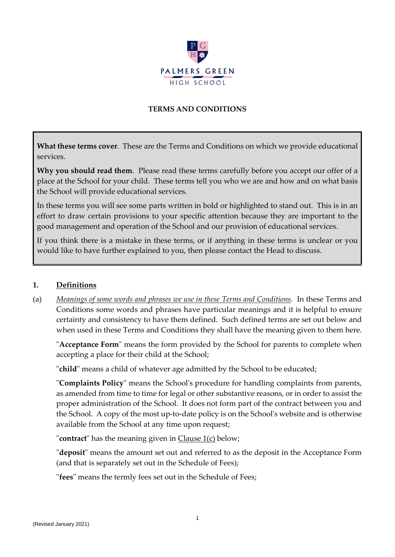

#### **TERMS AND CONDITIONS**

**What these terms cover**. These are the Terms and Conditions on which we provide educational services.

**Why you should read them**. Please read these terms carefully before you accept our offer of a place at the School for your child. These terms tell you who we are and how and on what basis the School will provide educational services.

In these terms you will see some parts written in bold or highlighted to stand out. This is in an effort to draw certain provisions to your specific attention because they are important to the good management and operation of the School and our provision of educational services.

If you think there is a mistake in these terms, or if anything in these terms is unclear or you would like to have further explained to you, then please contact the Head to discuss.

#### **1. Definitions**

(a) *Meanings of some words and phrases we use in these Terms and Conditions.* In these Terms and Conditions some words and phrases have particular meanings and it is helpful to ensure certainty and consistency to have them defined. Such defined terms are set out below and when used in these Terms and Conditions they shall have the meaning given to them here.

"**Acceptance Form**" means the form provided by the School for parents to complete when accepting a place for their child at the School;

"**child**" means a child of whatever age admitted by the School to be educated;

"**Complaints Policy**" means the School's procedure for handling complaints from parents, as amended from time to time for legal or other substantive reasons, or in order to assist the proper administration of the School. It does not form part of the contract between you and the School. A copy of the most up-to-date policy is on the School's website and is otherwise available from the School at any time upon request;

"**contract**" has the meaning given in Clause 1(c) below;

"**deposit**" means the amount set out and referred to as the deposit in the Acceptance Form (and that is separately set out in the Schedule of Fees);

"**fees**" means the termly fees set out in the Schedule of Fees;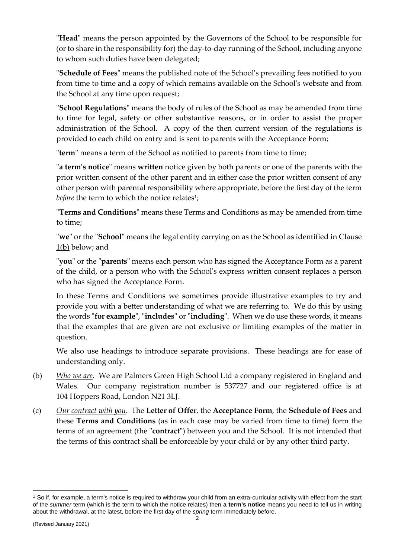"**Head**" means the person appointed by the Governors of the School to be responsible for (or to share in the responsibility for) the day-to-day running of the School, including anyone to whom such duties have been delegated;

"**Schedule of Fees**" means the published note of the School's prevailing fees notified to you from time to time and a copy of which remains available on the School's website and from the School at any time upon request;

"**School Regulations**" means the body of rules of the School as may be amended from time to time for legal, safety or other substantive reasons, or in order to assist the proper administration of the School. A copy of the then current version of the regulations is provided to each child on entry and is sent to parents with the Acceptance Form;

"**term**" means a term of the School as notified to parents from time to time;

"**a term's notice**" means **written** notice given by both parents or one of the parents with the prior written consent of the other parent and in either case the prior written consent of any other person with parental responsibility where appropriate, before the first day of the term *before* the term to which the notice relates<sup>1</sup>;

"**Terms and Conditions**" means these Terms and Conditions as may be amended from time to time;

"**we**" or the "**School**" means the legal entity carrying on as the School as identified in Clause 1(b) below; and

"**you**" or the "**parents**" means each person who has signed the Acceptance Form as a parent of the child, or a person who with the School's express written consent replaces a person who has signed the Acceptance Form.

In these Terms and Conditions we sometimes provide illustrative examples to try and provide you with a better understanding of what we are referring to. We do this by using the words "**for example**", "**includes**" or "**including**". When we do use these words, it means that the examples that are given are not exclusive or limiting examples of the matter in question.

We also use headings to introduce separate provisions. These headings are for ease of understanding only.

- (b) *Who we are*. We are Palmers Green High School Ltd a company registered in England and Wales. Our company registration number is 537727 and our registered office is at 104 Hoppers Road, London N21 3LJ.
- (c) *Our contract with you*. The **Letter of Offer**, the **Acceptance Form**, the **Schedule of Fees** and these **Terms and Conditions** (as in each case may be varied from time to time) form the terms of an agreement (the "**contract**") between you and the School. It is not intended that the terms of this contract shall be enforceable by your child or by any other third party.

<sup>&</sup>lt;sup>1</sup> So if, for example, a term's notice is required to withdraw your child from an extra-curricular activity with effect from the start of the *summer* term (which is the term to which the notice relates) then **a term's notice** means you need to tell us in writing about the withdrawal, at the latest, before the first day of the *spring* term immediately before.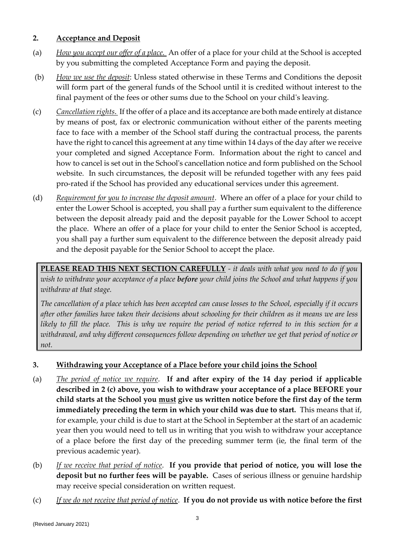#### **2. Acceptance and Deposit**

- (a) *How you accept our offer of a place.* An offer of a place for your child at the School is accepted by you submitting the completed Acceptance Form and paying the deposit.
- (b) *How we use the deposit*: Unless stated otherwise in these Terms and Conditions the deposit will form part of the general funds of the School until it is credited without interest to the final payment of the fees or other sums due to the School on your child's leaving.
- (c) *Cancellation rights*. If the offer of a place and its acceptance are both made entirely at distance by means of post, fax or electronic communication without either of the parents meeting face to face with a member of the School staff during the contractual process, the parents have the right to cancel this agreement at any time within 14 days of the day after we receive your completed and signed Acceptance Form. Information about the right to cancel and how to cancel is set out in the School's cancellation notice and form published on the School website. In such circumstances, the deposit will be refunded together with any fees paid pro-rated if the School has provided any educational services under this agreement.
- (d) *Requirement for you to increase the deposit amount*. Where an offer of a place for your child to enter the Lower School is accepted, you shall pay a further sum equivalent to the difference between the deposit already paid and the deposit payable for the Lower School to accept the place. Where an offer of a place for your child to enter the Senior School is accepted, you shall pay a further sum equivalent to the difference between the deposit already paid and the deposit payable for the Senior School to accept the place.

**PLEASE READ THIS NEXT SECTION CAREFULLY** *- it deals with what you need to do if you wish to withdraw your acceptance of a place before your child joins the School and what happens if you withdraw at that stage.*

*The cancellation of a place which has been accepted can cause losses to the School, especially if it occurs after other families have taken their decisions about schooling for their children as it means we are less likely to fill the place. This is why we require the period of notice referred to in this section for a withdrawal, and why different consequences follow depending on whether we get that period of notice or not.*

# **3. Withdrawing your Acceptance of a Place before your child joins the School**

- (a) *The period of notice we require*. **If and after expiry of the 14 day period if applicable described in 2 (c) above, you wish to withdraw your acceptance of a place BEFORE your child starts at the School you must give us written notice before the first day of the term immediately preceding the term in which your child was due to start.** This means that if, for example, your child is due to start at the School in September at the start of an academic year then you would need to tell us in writing that you wish to withdraw your acceptance of a place before the first day of the preceding summer term (ie, the final term of the previous academic year).
- (b) *If we receive that period of notice*. **If you provide that period of notice, you will lose the deposit but no further fees will be payable.** Cases of serious illness or genuine hardship may receive special consideration on written request.
- (c) *If we do not receive that period of notice*. **If you do not provide us with notice before the first**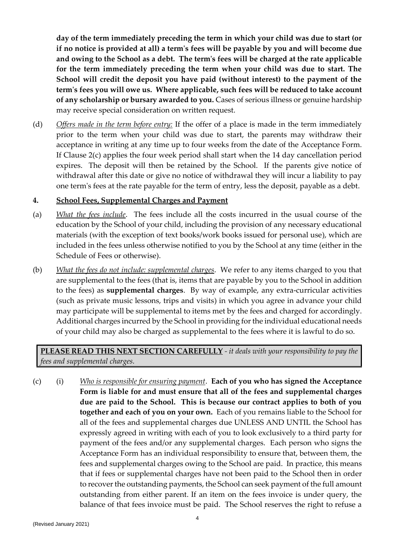**day of the term immediately preceding the term in which your child was due to start (or if no notice is provided at all) a term's fees will be payable by you and will become due and owing to the School as a debt. The term's fees will be charged at the rate applicable for the term immediately preceding the term when your child was due to start. The School will credit the deposit you have paid (without interest) to the payment of the term's fees you will owe us. Where applicable, such fees will be reduced to take account of any scholarship or bursary awarded to you.** Cases of serious illness or genuine hardship may receive special consideration on written request.

(d) *Offers made in the term before entry:* If the offer of a place is made in the term immediately prior to the term when your child was due to start, the parents may withdraw their acceptance in writing at any time up to four weeks from the date of the Acceptance Form. If Clause 2(c) applies the four week period shall start when the 14 day cancellation period expires. The deposit will then be retained by the School. If the parents give notice of withdrawal after this date or give no notice of withdrawal they will incur a liability to pay one term's fees at the rate payable for the term of entry, less the deposit, payable as a debt.

#### **4. School Fees, Supplemental Charges and Payment**

- (a) *What the fees include*. The fees include all the costs incurred in the usual course of the education by the School of your child, including the provision of any necessary educational materials (with the exception of text books/work books issued for personal use), which are included in the fees unless otherwise notified to you by the School at any time (either in the Schedule of Fees or otherwise).
- (b) *What the fees do not include: supplemental charges*. We refer to any items charged to you that are supplemental to the fees (that is, items that are payable by you to the School in addition to the fees) as **supplemental charges**. By way of example, any extra-curricular activities (such as private music lessons, trips and visits) in which you agree in advance your child may participate will be supplemental to items met by the fees and charged for accordingly. Additional charges incurred by the School in providing for the individual educational needs of your child may also be charged as supplemental to the fees where it is lawful to do so.

# **PLEASE READ THIS NEXT SECTION CAREFULLY** *- it deals with your responsibility to pay the fees and supplemental charges.*

(c) (i) *Who is responsible for ensuring payment*. **Each of you who has signed the Acceptance Form is liable for and must ensure that all of the fees and supplemental charges due are paid to the School. This is because our contract applies to both of you together and each of you on your own.** Each of you remains liable to the School for all of the fees and supplemental charges due UNLESS AND UNTIL the School has expressly agreed in writing with each of you to look exclusively to a third party for payment of the fees and/or any supplemental charges. Each person who signs the Acceptance Form has an individual responsibility to ensure that, between them, the fees and supplemental charges owing to the School are paid. In practice, this means that if fees or supplemental charges have not been paid to the School then in order to recover the outstanding payments, the School can seek payment of the full amount outstanding from either parent. If an item on the fees invoice is under query, the balance of that fees invoice must be paid. The School reserves the right to refuse a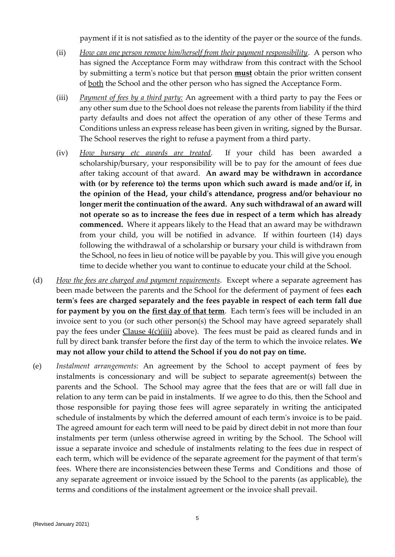payment if it is not satisfied as to the identity of the payer or the source of the funds.

- (ii) *How can one person remove him/herself from their payment responsibility*. A person who has signed the Acceptance Form may withdraw from this contract with the School by submitting a term's notice but that person **must** obtain the prior written consent of both the School and the other person who has signed the Acceptance Form.
- (iii) *Payment of fees by a third party:* An agreement with a third party to pay the Fees or any other sum due to the School does not release the parents from liability if the third party defaults and does not affect the operation of any other of these Terms and Conditions unless an express release has been given in writing, signed by the Bursar. The School reserves the right to refuse a payment from a third party.
- (iv) *How bursary etc awards are treated*. If your child has been awarded a scholarship/bursary, your responsibility will be to pay for the amount of fees due after taking account of that award. **An award may be withdrawn in accordance with (or by reference to) the terms upon which such award is made and/or if, in the opinion of the Head, your child's attendance, progress and/or behaviour no longer merit the continuation of the award. Any such withdrawal of an award will not operate so as to increase the fees due in respect of a term which has already commenced.** Where it appears likely to the Head that an award may be withdrawn from your child, you will be notified in advance. If within fourteen (14) days following the withdrawal of a scholarship or bursary your child is withdrawn from the School, no fees in lieu of notice will be payable by you. This will give you enough time to decide whether you want to continue to educate your child at the School.
- (d) *How the fees are charged and payment requirements*. Except where a separate agreement has been made between the parents and the School for the deferment of payment of fees **each term's fees are charged separately and the fees payable in respect of each term fall due for payment by you on the first day of that term**. Each term's fees will be included in an invoice sent to you (or such other person(s) the School may have agreed separately shall pay the fees under Clause 4(c)(iii) above). The fees must be paid as cleared funds and in full by direct bank transfer before the first day of the term to which the invoice relates. **We may not allow your child to attend the School if you do not pay on time.**
- (e) *Instalment arrangements:* An agreement by the School to accept payment of fees by instalments is concessionary and will be subject to separate agreement(s) between the parents and the School. The School may agree that the fees that are or will fall due in relation to any term can be paid in instalments. If we agree to do this, then the School and those responsible for paying those fees will agree separately in writing the anticipated schedule of instalments by which the deferred amount of each term's invoice is to be paid. The agreed amount for each term will need to be paid by direct debit in not more than four instalments per term (unless otherwise agreed in writing by the School. The School will issue a separate invoice and schedule of instalments relating to the fees due in respect of each term, which will be evidence of the separate agreement for the payment of that term's fees. Where there are inconsistencies between these Terms and Conditions and those of any separate agreement or invoice issued by the School to the parents (as applicable), the terms and conditions of the instalment agreement or the invoice shall prevail.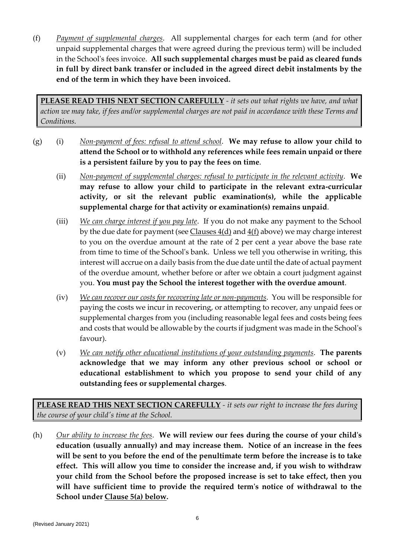(f) *Payment of supplemental charges*. All supplemental charges for each term (and for other unpaid supplemental charges that were agreed during the previous term) will be included in the School's fees invoice. **All such supplemental charges must be paid as cleared funds in full by direct bank transfer or included in the agreed direct debit instalments by the end of the term in which they have been invoiced.**

**PLEASE READ THIS NEXT SECTION CAREFULLY** *- it sets out what rights we have, and what action we may take, if fees and/or supplemental charges are not paid in accordance with these Terms and Conditions.*

- (g) (i) *Non-payment of fees: refusal to attend school*. **We may refuse to allow your child to attend the School or to withhold any references while fees remain unpaid or there is a persistent failure by you to pay the fees on time**.
	- (ii) *Non-payment of supplemental charges: refusal to participate in the relevant activity*. **We may refuse to allow your child to participate in the relevant extra-curricular activity, or sit the relevant public examination(s), while the applicable supplemental charge for that activity or examination(s) remains unpaid**.
	- (iii) *We can charge interest if you pay late*. If you do not make any payment to the School by the due date for payment (see  $\frac{\text{Classes 4(d)}}{\text{a} \cdot \text{d}}$  and  $\frac{4(f)}{f}$  above) we may charge interest to you on the overdue amount at the rate of 2 per cent a year above the base rate from time to time of the School's bank. Unless we tell you otherwise in writing, this interest will accrue on a daily basis from the due date until the date of actual payment of the overdue amount, whether before or after we obtain a court judgment against you. **You must pay the School the interest together with the overdue amount**.
	- (iv) *We can recover our costs for recovering late or non-payments*. You will be responsible for paying the costs we incur in recovering, or attempting to recover, any unpaid fees or supplemental charges from you (including reasonable legal fees and costs being fees and costs that would be allowable by the courts if judgment was made in the School's favour).
	- (v) *We can notify other educational institutions of your outstanding payments*. **The parents acknowledge that we may inform any other previous school or school or educational establishment to which you propose to send your child of any outstanding fees or supplemental charges**.

**PLEASE READ THIS NEXT SECTION CAREFULLY** *- it sets our right to increase the fees during the course of your child's time at the School.*

(h) *Our ability to increase the fees*. **We will review our fees during the course of your child's education (usually annually) and may increase them. Notice of an increase in the fees will be sent to you before the end of the penultimate term before the increase is to take effect. This will allow you time to consider the increase and, if you wish to withdraw your child from the School before the proposed increase is set to take effect, then you will have sufficient time to provide the required term's notice of withdrawal to the School under Clause 5(a) below.**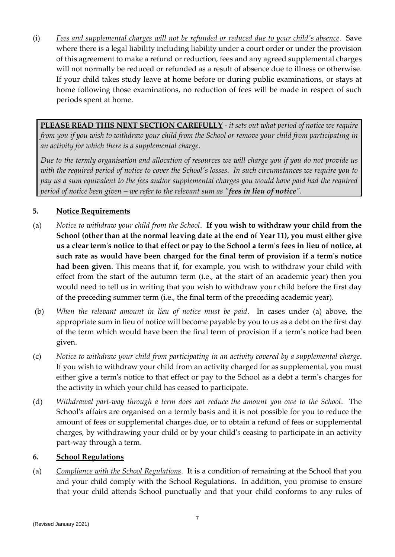(i) *Fees and supplemental charges will not be refunded or reduced due to your child's absence*. Save where there is a legal liability including liability under a court order or under the provision of this agreement to make a refund or reduction, fees and any agreed supplemental charges will not normally be reduced or refunded as a result of absence due to illness or otherwise. If your child takes study leave at home before or during public examinations, or stays at home following those examinations, no reduction of fees will be made in respect of such periods spent at home.

**PLEASE READ THIS NEXT SECTION CAREFULLY** *- it sets out what period of notice we require from you if you wish to withdraw your child from the School or remove your child from participating in an activity for which there is a supplemental charge.*

*Due to the termly organisation and allocation of resources we will charge you if you do not provide us with the required period of notice to cover the School's losses. In such circumstances we require you to pay us a sum equivalent to the fees and/or supplemental charges you would have paid had the required period of notice been given – we refer to the relevant sum as "fees in lieu of notice".* 

# **5. Notice Requirements**

- (a) *Notice to withdraw your child from the School*. **If you wish to withdraw your child from the School (other than at the normal leaving date at the end of Year 11), you must either give us a clear term's notice to that effect or pay to the School a term's fees in lieu of notice, at such rate as would have been charged for the final term of provision if a term's notice had been given**. This means that if, for example, you wish to withdraw your child with effect from the start of the autumn term (i.e., at the start of an academic year) then you would need to tell us in writing that you wish to withdraw your child before the first day of the preceding summer term (i.e., the final term of the preceding academic year).
- (b) *When the relevant amount in lieu of notice must be paid*. In cases under (a) above, the appropriate sum in lieu of notice will become payable by you to us as a debt on the first day of the term which would have been the final term of provision if a term's notice had been given.
- (c) *Notice to withdraw your child from participating in an activity covered by a supplemental charge*. If you wish to withdraw your child from an activity charged for as supplemental, you must either give a term's notice to that effect or pay to the School as a debt a term's charges for the activity in which your child has ceased to participate.
- (d) *Withdrawal part-way through a term does not reduce the amount you owe to the School*. The School's affairs are organised on a termly basis and it is not possible for you to reduce the amount of fees or supplemental charges due, or to obtain a refund of fees or supplemental charges, by withdrawing your child or by your child's ceasing to participate in an activity part-way through a term.

# **6. School Regulations**

(a) *Compliance with the School Regulations*. It is a condition of remaining at the School that you and your child comply with the School Regulations. In addition, you promise to ensure that your child attends School punctually and that your child conforms to any rules of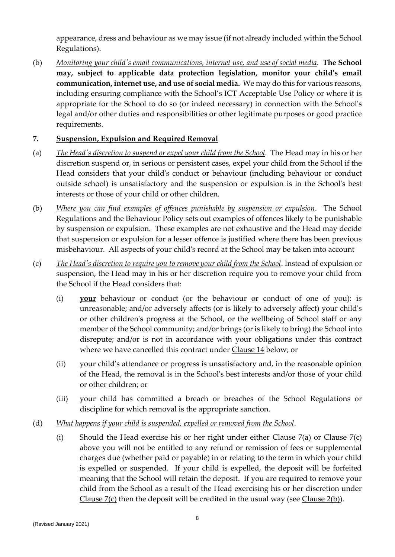appearance, dress and behaviour as we may issue (if not already included within the School Regulations).

(b) *Monitoring your child's email communications, internet use, and use of social media*. **The School may, subject to applicable data protection legislation, monitor your child's email communication, internet use, and use of social media.** We may do this for various reasons, including ensuring compliance with the School's ICT Acceptable Use Policy or where it is appropriate for the School to do so (or indeed necessary) in connection with the School's legal and/or other duties and responsibilities or other legitimate purposes or good practice requirements.

# **7. Suspension, Expulsion and Required Removal**

- (a) *The Head's discretion to suspend or expel your child from the School*. The Head may in his or her discretion suspend or, in serious or persistent cases, expel your child from the School if the Head considers that your child's conduct or behaviour (including behaviour or conduct outside school) is unsatisfactory and the suspension or expulsion is in the School's best interests or those of your child or other children.
- (b) *Where you can find examples of offences punishable by suspension or expulsion*. The School Regulations and the Behaviour Policy sets out examples of offences likely to be punishable by suspension or expulsion. These examples are not exhaustive and the Head may decide that suspension or expulsion for a lesser offence is justified where there has been previous misbehaviour. All aspects of your child's record at the School may be taken into account
- (c) *The Head's discretion to require you to remove your child from the School*. Instead of expulsion or suspension, the Head may in his or her discretion require you to remove your child from the School if the Head considers that:
	- (i) **your** behaviour or conduct (or the behaviour or conduct of one of you): is unreasonable; and/or adversely affects (or is likely to adversely affect) your child's or other children's progress at the School, or the wellbeing of School staff or any member of the School community; and/or brings (or is likely to bring) the School into disrepute; and/or is not in accordance with your obligations under this contract where we have cancelled this contract under Clause 14 below; or
	- (ii) your child's attendance or progress is unsatisfactory and, in the reasonable opinion of the Head, the removal is in the School's best interests and/or those of your child or other children; or
	- (iii) your child has committed a breach or breaches of the School Regulations or discipline for which removal is the appropriate sanction.
- (d) *What happens if your child is suspended, expelled or removed from the School*.
	- (i) Should the Head exercise his or her right under either Clause  $7(a)$  or Clause  $7(c)$ above you will not be entitled to any refund or remission of fees or supplemental charges due (whether paid or payable) in or relating to the term in which your child is expelled or suspended. If your child is expelled, the deposit will be forfeited meaning that the School will retain the deposit. If you are required to remove your child from the School as a result of the Head exercising his or her discretion under Clause 7(c) then the deposit will be credited in the usual way (see Clause 2(b)).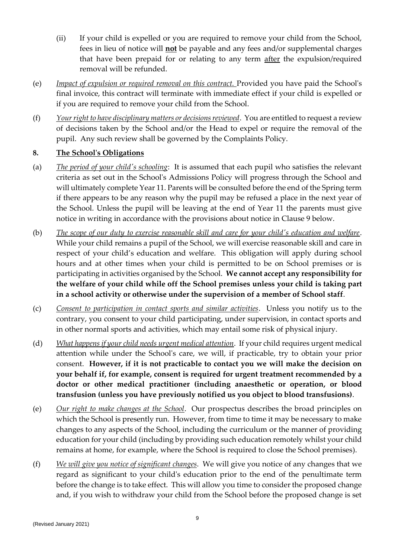- (ii) If your child is expelled or you are required to remove your child from the School, fees in lieu of notice will **not** be payable and any fees and/or supplemental charges that have been prepaid for or relating to any term after the expulsion/required removal will be refunded.
- (e) *Impact of expulsion or required removal on this contract.* Provided you have paid the School's final invoice, this contract will terminate with immediate effect if your child is expelled or if you are required to remove your child from the School.
- (f) *Your right to have disciplinary matters or decisions reviewed*. You are entitled to request a review of decisions taken by the School and/or the Head to expel or require the removal of the pupil. Any such review shall be governed by the Complaints Policy.

# **8. The School's Obligations**

- (a) *The period of your child's schooling*: It is assumed that each pupil who satisfies the relevant criteria as set out in the School's Admissions Policy will progress through the School and will ultimately complete Year 11. Parents will be consulted before the end of the Spring term if there appears to be any reason why the pupil may be refused a place in the next year of the School. Unless the pupil will be leaving at the end of Year 11 the parents must give notice in writing in accordance with the provisions about notice in Clause 9 below.
- (b) *The scope of our duty to exercise reasonable skill and care for your child's education and welfare*. While your child remains a pupil of the School, we will exercise reasonable skill and care in respect of your child's education and welfare. This obligation will apply during school hours and at other times when your child is permitted to be on School premises or is participating in activities organised by the School. **We cannot accept any responsibility for the welfare of your child while off the School premises unless your child is taking part in a school activity or otherwise under the supervision of a member of School staff**.
- (c) *Consent to participation in contact sports and similar activities*. Unless you notify us to the contrary, you consent to your child participating, under supervision, in contact sports and in other normal sports and activities, which may entail some risk of physical injury.
- (d) *What happens if your child needs urgent medical attention*. If your child requires urgent medical attention while under the School's care, we will, if practicable, try to obtain your prior consent. **However, if it is not practicable to contact you we will make the decision on your behalf if, for example, consent is required for urgent treatment recommended by a doctor or other medical practitioner (including anaesthetic or operation, or blood transfusion (unless you have previously notified us you object to blood transfusions)**.
- (e) *Our right to make changes at the School*. Our prospectus describes the broad principles on which the School is presently run. However, from time to time it may be necessary to make changes to any aspects of the School, including the curriculum or the manner of providing education for your child (including by providing such education remotely whilst your child remains at home, for example, where the School is required to close the School premises).
- (f) *We will give you notice of significant changes*. We will give you notice of any changes that we regard as significant to your child's education prior to the end of the penultimate term before the change is to take effect. This will allow you time to consider the proposed change and, if you wish to withdraw your child from the School before the proposed change is set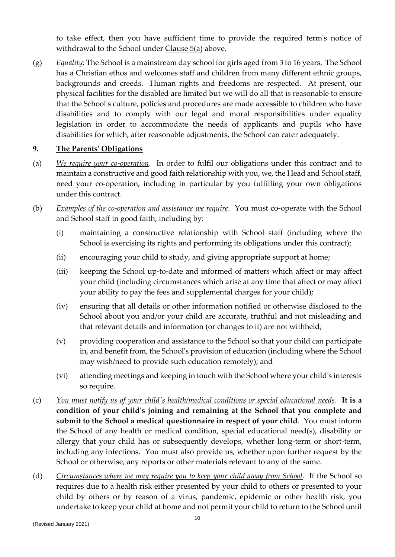to take effect, then you have sufficient time to provide the required term's notice of withdrawal to the School under Clause 5(a) above.

(g) *Equality*: The School is a mainstream day school for girls aged from 3 to 16 years. The School has a Christian ethos and welcomes staff and children from many different ethnic groups, backgrounds and creeds. Human rights and freedoms are respected. At present, our physical facilities for the disabled are limited but we will do all that is reasonable to ensure that the School's culture, policies and procedures are made accessible to children who have disabilities and to comply with our legal and moral responsibilities under equality legislation in order to accommodate the needs of applicants and pupils who have disabilities for which, after reasonable adjustments, the School can cater adequately.

#### **9. The Parents' Obligations**

- (a) *We require your co-operation*. In order to fulfil our obligations under this contract and to maintain a constructive and good faith relationship with you, we, the Head and School staff, need your co-operation, including in particular by you fulfilling your own obligations under this contract.
- (b) *Examples of the co-operation and assistance we require*. You must co-operate with the School and School staff in good faith, including by:
	- (i) maintaining a constructive relationship with School staff (including where the School is exercising its rights and performing its obligations under this contract);
	- (ii) encouraging your child to study, and giving appropriate support at home;
	- (iii) keeping the School up-to-date and informed of matters which affect or may affect your child (including circumstances which arise at any time that affect or may affect your ability to pay the fees and supplemental charges for your child);
	- (iv) ensuring that all details or other information notified or otherwise disclosed to the School about you and/or your child are accurate, truthful and not misleading and that relevant details and information (or changes to it) are not withheld;
	- (v) providing cooperation and assistance to the School so that your child can participate in, and benefit from, the School's provision of education (including where the School may wish/need to provide such education remotely); and
	- (vi) attending meetings and keeping in touch with the School where your child's interests so require.
- (c) *You must notify us of your child's health/medical conditions or special educational needs*. **It is a condition of your child's joining and remaining at the School that you complete and submit to the School a medical questionnaire in respect of your child**. You must inform the School of any health or medical condition, special educational need(s), disability or allergy that your child has or subsequently develops, whether long-term or short-term, including any infections. You must also provide us, whether upon further request by the School or otherwise, any reports or other materials relevant to any of the same.
- (d) *Circumstances where we may require you to keep your child away from School*. If the School so requires due to a health risk either presented by your child to others or presented to your child by others or by reason of a virus, pandemic, epidemic or other health risk, you undertake to keep your child at home and not permit your child to return to the School until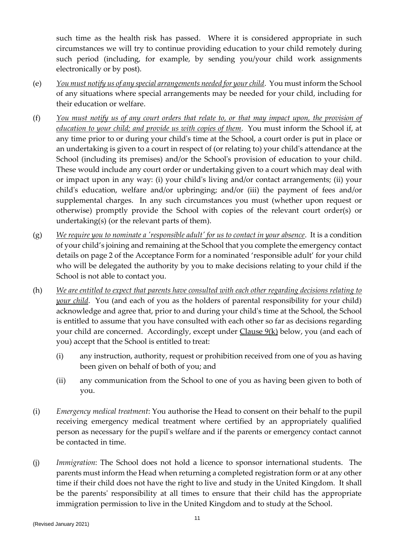such time as the health risk has passed. Where it is considered appropriate in such circumstances we will try to continue providing education to your child remotely during such period (including, for example, by sending you/your child work assignments electronically or by post).

- (e) *You must notify us of any special arrangements needed for your child*. You must inform the School of any situations where special arrangements may be needed for your child, including for their education or welfare.
- (f) *You must notify us of any court orders that relate to, or that may impact upon, the provision of education to your child; and provide us with copies of them*. You must inform the School if, at any time prior to or during your child's time at the School, a court order is put in place or an undertaking is given to a court in respect of (or relating to) your child's attendance at the School (including its premises) and/or the School's provision of education to your child. These would include any court order or undertaking given to a court which may deal with or impact upon in any way: (i) your child's living and/or contact arrangements; (ii) your child's education, welfare and/or upbringing; and/or (iii) the payment of fees and/or supplemental charges. In any such circumstances you must (whether upon request or otherwise) promptly provide the School with copies of the relevant court order(s) or undertaking(s) (or the relevant parts of them).
- (g) *We require you to nominate a 'responsible adult' for us to contact in your absence*. It is a condition of your child's joining and remaining at the School that you complete the emergency contact details on page 2 of the Acceptance Form for a nominated 'responsible adult' for your child who will be delegated the authority by you to make decisions relating to your child if the School is not able to contact you.
- (h) *We are entitled to expect that parents have consulted with each other regarding decisions relating to your child*. You (and each of you as the holders of parental responsibility for your child) acknowledge and agree that, prior to and during your child's time at the School, the School is entitled to assume that you have consulted with each other so far as decisions regarding your child are concerned. Accordingly, except under Clause 9(k) below, you (and each of you) accept that the School is entitled to treat:
	- (i) any instruction, authority, request or prohibition received from one of you as having been given on behalf of both of you; and
	- (ii) any communication from the School to one of you as having been given to both of you.
- (i) *Emergency medical treatment*: You authorise the Head to consent on their behalf to the pupil receiving emergency medical treatment where certified by an appropriately qualified person as necessary for the pupil's welfare and if the parents or emergency contact cannot be contacted in time.
- (j) *Immigration*: The School does not hold a licence to sponsor international students. The parents must inform the Head when returning a completed registration form or at any other time if their child does not have the right to live and study in the United Kingdom. It shall be the parents' responsibility at all times to ensure that their child has the appropriate immigration permission to live in the United Kingdom and to study at the School.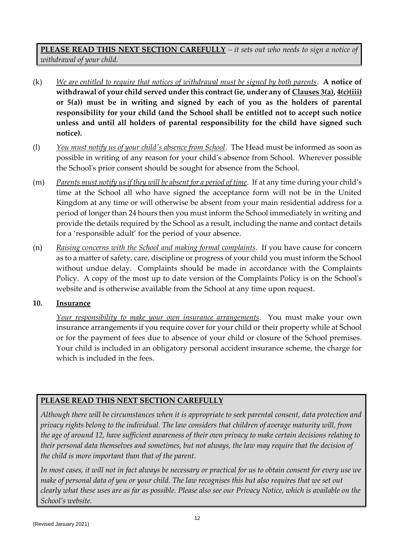**PLEASE READ THIS NEXT SECTION CAREFULLY** *– it sets out who needs to sign a notice of withdrawal of your child.*

- (k) *We are entitled to require that notices of withdrawal must be signed by both parents*. **A notice of withdrawal of your child served under this contract (ie, under any of Clauses 3(a), 4(c)(iii) or 5(a)) must be in writing and signed by each of you as the holders of parental responsibility for your child (and the School shall be entitled not to accept such notice unless and until all holders of parental responsibility for the child have signed such notice).**
- (l) *You must notify us of your child's absence from School*. The Head must be informed as soon as possible in writing of any reason for your child's absence from School. Wherever possible the School's prior consent should be sought for absence from the School.
- (m) *Parents must notify us if they will be absent for a period of time*. If at any time during your child's time at the School all who have signed the acceptance form will not be in the United Kingdom at any time or will otherwise be absent from your main residential address for a period of longer than 24 hours then you must inform the School immediately in writing and provide the details required by the School as a result, including the name and contact details for a 'responsible adult' for the period of your absence.
- (n) *Raising concerns with the School and making formal complaints*. If you have cause for concern as to a matter of safety, care, discipline or progress of your child you must inform the School without undue delay. Complaints should be made in accordance with the Complaints Policy. A copy of the most up to date version of the Complaints Policy is on the School's website and is otherwise available from the School at any time upon request.

# **10. Insurance**

*Your responsibility to make your own insurance arrangements*. You must make your own insurance arrangements if you require cover for your child or their property while at School or for the payment of fees due to absence of your child or closure of the School premises. Your child is included in an obligatory personal accident insurance scheme, the charge for which is included in the fees.

# **PLEASE READ THIS NEXT SECTION CAREFULLY**

*Although there will be circumstances when it is appropriate to seek parental consent, data protection and privacy rights belong to the individual. The law considers that children of average maturity will, from the age of around 12, have sufficient awareness of their own privacy to make certain decisions relating to their personal data themselves and sometimes, but not always, the law may require that the decision of the child is more important than that of the parent.*

*In most cases, it will not in fact always be necessary or practical for us to obtain consent for every use we make of personal data of you or your child. The law recognises this but also requires that we set out clearly what these uses are as far as possible. Please also see our Privacy Notice, which is available on the School's website.*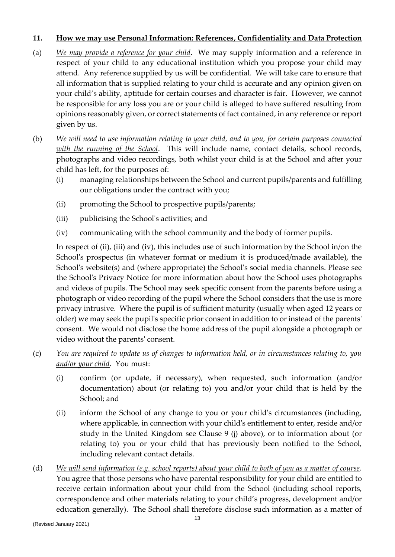#### **11. How we may use Personal Information: References, Confidentiality and Data Protection**

- (a) *We may provide a reference for your child*. We may supply information and a reference in respect of your child to any educational institution which you propose your child may attend. Any reference supplied by us will be confidential. We will take care to ensure that all information that is supplied relating to your child is accurate and any opinion given on your child's ability, aptitude for certain courses and character is fair. However, we cannot be responsible for any loss you are or your child is alleged to have suffered resulting from opinions reasonably given, or correct statements of fact contained, in any reference or report given by us.
- (b) *We will need to use information relating to your child, and to you, for certain purposes connected with the running of the School*. This will include name, contact details, school records, photographs and video recordings, both whilst your child is at the School and after your child has left, for the purposes of:
	- (i) managing relationships between the School and current pupils/parents and fulfilling our obligations under the contract with you;
	- (ii) promoting the School to prospective pupils/parents;
	- (iii) publicising the School's activities; and
	- (iv) communicating with the school community and the body of former pupils.

In respect of (ii), (iii) and (iv), this includes use of such information by the School in/on the School's prospectus (in whatever format or medium it is produced/made available), the School's website(s) and (where appropriate) the School's social media channels. Please see the School's Privacy Notice for more information about how the School uses photographs and videos of pupils. The School may seek specific consent from the parents before using a photograph or video recording of the pupil where the School considers that the use is more privacy intrusive. Where the pupil is of sufficient maturity (usually when aged 12 years or older) we may seek the pupil's specific prior consent in addition to or instead of the parents' consent. We would not disclose the home address of the pupil alongside a photograph or video without the parents' consent.

- (c) *You are required to update us of changes to information held, or in circumstances relating to, you and/or your child*. You must:
	- (i) confirm (or update, if necessary), when requested, such information (and/or documentation) about (or relating to) you and/or your child that is held by the School; and
	- (ii) inform the School of any change to you or your child's circumstances (including, where applicable, in connection with your child's entitlement to enter, reside and/or study in the United Kingdom see Clause 9 (j) above), or to information about (or relating to) you or your child that has previously been notified to the School, including relevant contact details.
- (d) *We will send information (e.g. school reports) about your child to both of you as a matter of course*. You agree that those persons who have parental responsibility for your child are entitled to receive certain information about your child from the School (including school reports, correspondence and other materials relating to your child's progress, development and/or education generally). The School shall therefore disclose such information as a matter of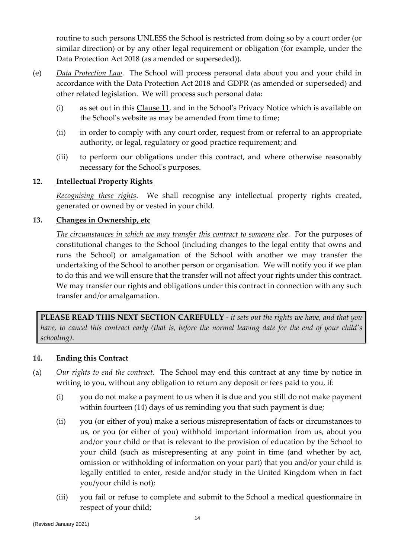routine to such persons UNLESS the School is restricted from doing so by a court order (or similar direction) or by any other legal requirement or obligation (for example, under the Data Protection Act 2018 (as amended or superseded)).

- (e) *Data Protection Law*. The School will process personal data about you and your child in accordance with the Data Protection Act 2018 and GDPR (as amended or superseded) and other related legislation. We will process such personal data:
	- (i) as set out in this Clause 11, and in the School's Privacy Notice which is available on the School's website as may be amended from time to time;
	- (ii) in order to comply with any court order, request from or referral to an appropriate authority, or legal, regulatory or good practice requirement; and
	- (iii) to perform our obligations under this contract, and where otherwise reasonably necessary for the School's purposes.

# **12. Intellectual Property Rights**

*Recognising these rights*. We shall recognise any intellectual property rights created, generated or owned by or vested in your child.

#### **13. Changes in Ownership, etc**

*The circumstances in which we may transfer this contract to someone else*. For the purposes of constitutional changes to the School (including changes to the legal entity that owns and runs the School) or amalgamation of the School with another we may transfer the undertaking of the School to another person or organisation. We will notify you if we plan to do this and we will ensure that the transfer will not affect your rights under this contract. We may transfer our rights and obligations under this contract in connection with any such transfer and/or amalgamation.

**PLEASE READ THIS NEXT SECTION CAREFULLY** *- it sets out the rights we have, and that you have, to cancel this contract early (that is, before the normal leaving date for the end of your child's schooling)*.

#### **14. Ending this Contract**

- (a) *Our rights to end the contract*. The School may end this contract at any time by notice in writing to you, without any obligation to return any deposit or fees paid to you, if:
	- (i) you do not make a payment to us when it is due and you still do not make payment within fourteen (14) days of us reminding you that such payment is due;
	- (ii) you (or either of you) make a serious misrepresentation of facts or circumstances to us, or you (or either of you) withhold important information from us, about you and/or your child or that is relevant to the provision of education by the School to your child (such as misrepresenting at any point in time (and whether by act, omission or withholding of information on your part) that you and/or your child is legally entitled to enter, reside and/or study in the United Kingdom when in fact you/your child is not);
	- (iii) you fail or refuse to complete and submit to the School a medical questionnaire in respect of your child;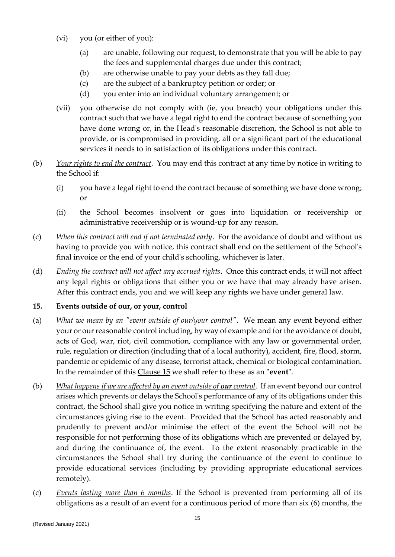- (vi) you (or either of you):
	- (a) are unable, following our request, to demonstrate that you will be able to pay the fees and supplemental charges due under this contract;
	- (b) are otherwise unable to pay your debts as they fall due;
	- (c) are the subject of a bankruptcy petition or order; or
	- (d) you enter into an individual voluntary arrangement; or
- (vii) you otherwise do not comply with (ie, you breach) your obligations under this contract such that we have a legal right to end the contract because of something you have done wrong or, in the Head's reasonable discretion, the School is not able to provide, or is compromised in providing, all or a significant part of the educational services it needs to in satisfaction of its obligations under this contract.
- (b) *Your rights to end the contract*. You may end this contract at any time by notice in writing to the School if:
	- (i) you have a legal right to end the contract because of something we have done wrong; or
	- (ii) the School becomes insolvent or goes into liquidation or receivership or administrative receivership or is wound-up for any reason.
- (c) *When this contract will end if not terminated early*. For the avoidance of doubt and without us having to provide you with notice, this contract shall end on the settlement of the School's final invoice or the end of your child's schooling, whichever is later.
- (d) *Ending the contract will not affect any accrued rights*. Once this contract ends, it will not affect any legal rights or obligations that either you or we have that may already have arisen. After this contract ends, you and we will keep any rights we have under general law.

# **15. Events outside of our, or your, control**

- (a) *What we mean by an "event outside of our/your control"*. We mean any event beyond either your or our reasonable control including, by way of example and for the avoidance of doubt, acts of God, war, riot, civil commotion, compliance with any law or governmental order, rule, regulation or direction (including that of a local authority), accident, fire, flood, storm, pandemic or epidemic of any disease, terrorist attack, chemical or biological contamination. In the remainder of this Clause 15 we shall refer to these as an "**event**".
- (b) *What happens if we are affected by an event outside of <i>our* control. If an event beyond our control arises which prevents or delays the School's performance of any of its obligations under this contract, the School shall give you notice in writing specifying the nature and extent of the circumstances giving rise to the event. Provided that the School has acted reasonably and prudently to prevent and/or minimise the effect of the event the School will not be responsible for not performing those of its obligations which are prevented or delayed by, and during the continuance of, the event. To the extent reasonably practicable in the circumstances the School shall try during the continuance of the event to continue to provide educational services (including by providing appropriate educational services remotely).
- (c) *Events lasting more than 6 months*. If the School is prevented from performing all of its obligations as a result of an event for a continuous period of more than six (6) months, the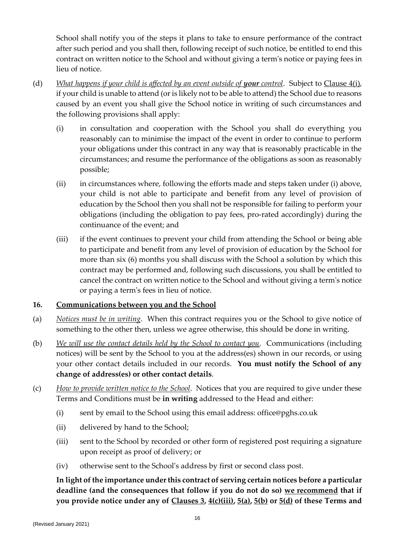School shall notify you of the steps it plans to take to ensure performance of the contract after such period and you shall then, following receipt of such notice, be entitled to end this contract on written notice to the School and without giving a term's notice or paying fees in lieu of notice.

- (d) *What happens if your child is affected by an event outside of your control*. Subject to Clause 4(i), if your child is unable to attend (or is likely not to be able to attend) the School due to reasons caused by an event you shall give the School notice in writing of such circumstances and the following provisions shall apply:
	- (i) in consultation and cooperation with the School you shall do everything you reasonably can to minimise the impact of the event in order to continue to perform your obligations under this contract in any way that is reasonably practicable in the circumstances; and resume the performance of the obligations as soon as reasonably possible;
	- (ii) in circumstances where, following the efforts made and steps taken under (i) above, your child is not able to participate and benefit from any level of provision of education by the School then you shall not be responsible for failing to perform your obligations (including the obligation to pay fees, pro-rated accordingly) during the continuance of the event; and
	- (iii) if the event continues to prevent your child from attending the School or being able to participate and benefit from any level of provision of education by the School for more than six (6) months you shall discuss with the School a solution by which this contract may be performed and, following such discussions, you shall be entitled to cancel the contract on written notice to the School and without giving a term's notice or paying a term's fees in lieu of notice.

# **16. Communications between you and the School**

- (a) *Notices must be in writing*. When this contract requires you or the School to give notice of something to the other then, unless we agree otherwise, this should be done in writing.
- (b) *We will use the contact details held by the School to contact you*. Communications (including notices) will be sent by the School to you at the address(es) shown in our records, or using your other contact details included in our records. **You must notify the School of any change of address(es) or other contact details**.
- (c) *How to provide written notice to the School*. Notices that you are required to give under these Terms and Conditions must be **in writing** addressed to the Head and either:
	- (i) sent by email to the School using this email address: office@pghs.co.uk
	- (ii) delivered by hand to the School;
	- (iii) sent to the School by recorded or other form of registered post requiring a signature upon receipt as proof of delivery; or
	- (iv) otherwise sent to the School's address by first or second class post.

**In light of the importance under this contract of serving certain notices before a particular deadline (and the consequences that follow if you do not do so) we recommend that if you provide notice under any of Clauses 3, 4(c)(iii), 5(a), 5(b) or 5(d) of these Terms and**